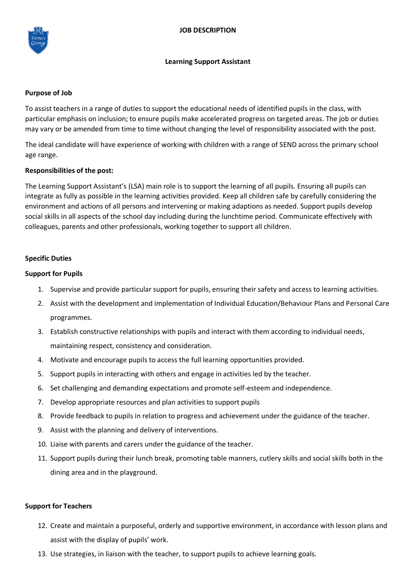

#### **Learning Support Assistant**

#### **Purpose of Job**

To assist teachers in a range of duties to support the educational needs of identified pupils in the class, with particular emphasis on inclusion; to ensure pupils make accelerated progress on targeted areas. The job or duties may vary or be amended from time to time without changing the level of responsibility associated with the post.

The ideal candidate will have experience of working with children with a range of SEND across the primary school age range.

# **Responsibilities of the post:**

The Learning Support Assistant's (LSA) main role is to support the learning of all pupils. Ensuring all pupils can integrate as fully as possible in the learning activities provided. Keep all children safe by carefully considering the environment and actions of all persons and intervening or making adaptions as needed. Support pupils develop social skills in all aspects of the school day including during the lunchtime period. Communicate effectively with colleagues, parents and other professionals, working together to support all children.

# **Specific Duties**

# **Support for Pupils**

- 1. Supervise and provide particular support for pupils, ensuring their safety and access to learning activities.
- 2. Assist with the development and implementation of Individual Education/Behaviour Plans and Personal Care programmes.
- 3. Establish constructive relationships with pupils and interact with them according to individual needs, maintaining respect, consistency and consideration.
- 4. Motivate and encourage pupils to access the full learning opportunities provided.
- 5. Support pupils in interacting with others and engage in activities led by the teacher.
- 6. Set challenging and demanding expectations and promote self-esteem and independence.
- 7. Develop appropriate resources and plan activities to support pupils
- 8. Provide feedback to pupils in relation to progress and achievement under the guidance of the teacher.
- 9. Assist with the planning and delivery of interventions.
- 10. Liaise with parents and carers under the guidance of the teacher.
- 11. Support pupils during their lunch break, promoting table manners, cutlery skills and social skills both in the dining area and in the playground.

#### **Support for Teachers**

- 12. Create and maintain a purposeful, orderly and supportive environment, in accordance with lesson plans and assist with the display of pupils' work.
- 13. Use strategies, in liaison with the teacher, to support pupils to achieve learning goals.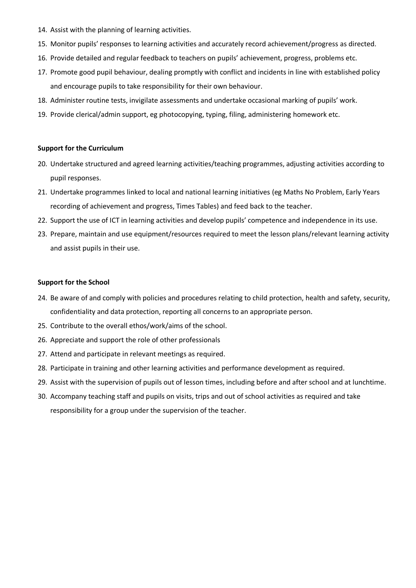- 14. Assist with the planning of learning activities.
- 15. Monitor pupils' responses to learning activities and accurately record achievement/progress as directed.
- 16. Provide detailed and regular feedback to teachers on pupils' achievement, progress, problems etc.
- 17. Promote good pupil behaviour, dealing promptly with conflict and incidents in line with established policy and encourage pupils to take responsibility for their own behaviour.
- 18. Administer routine tests, invigilate assessments and undertake occasional marking of pupils' work.
- 19. Provide clerical/admin support, eg photocopying, typing, filing, administering homework etc.

#### **Support for the Curriculum**

- 20. Undertake structured and agreed learning activities/teaching programmes, adjusting activities according to pupil responses.
- 21. Undertake programmes linked to local and national learning initiatives (eg Maths No Problem, Early Years recording of achievement and progress, Times Tables) and feed back to the teacher.
- 22. Support the use of ICT in learning activities and develop pupils' competence and independence in its use.
- 23. Prepare, maintain and use equipment/resources required to meet the lesson plans/relevant learning activity and assist pupils in their use.

#### **Support for the School**

- 24. Be aware of and comply with policies and procedures relating to child protection, health and safety, security, confidentiality and data protection, reporting all concerns to an appropriate person.
- 25. Contribute to the overall ethos/work/aims of the school.
- 26. Appreciate and support the role of other professionals
- 27. Attend and participate in relevant meetings as required.
- 28. Participate in training and other learning activities and performance development as required.
- 29. Assist with the supervision of pupils out of lesson times, including before and after school and at lunchtime.
- 30. Accompany teaching staff and pupils on visits, trips and out of school activities as required and take responsibility for a group under the supervision of the teacher.